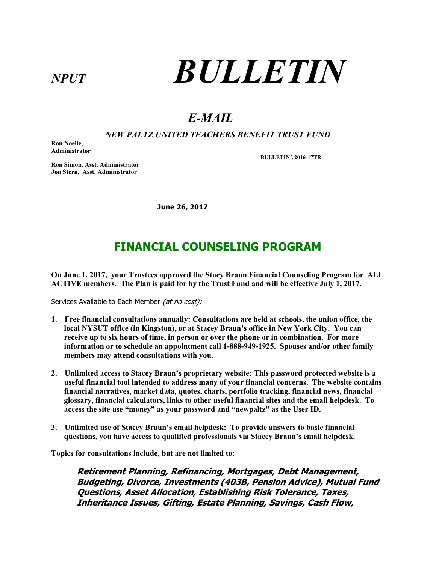# NPUT **BULLETIN**

# E-MAIL

#### NEW PALTZ UNITED TEACHERS BENEFIT TRUST FUND

Ron Noelle, Administrator

BULLETIN \ 2016-17TR

Ron Simon, Asst. Administrator Jon Stern, Asst. Administrator

June 26, 2017

### FINANCIAL COUNSELING PROGRAM

On June 1, 2017, your Trustees approved the Stacy Braun Financial Counseling Program for ALL ACTIVE members. The Plan is paid for by the Trust Fund and will be effective July 1, 2017.

Services Available to Each Member (at no cost):

- 1. Free financial consultations annually: Consultations are held at schools, the union office, the local NYSUT office (in Kingston), or at Stacey Braun's office in New York City. You can receive up to six hours of time, in person or over the phone or in combination. For more information or to schedule an appointment call 1-888-949-1925. Spouses and/or other family members may attend consultations with you.
- 2. Unlimited access to Stacey Braun's proprietary website: This password protected website is a useful financial tool intended to address many of your financial concerns. The website contains financial narratives, market data, quotes, charts, portfolio tracking, financial news, financial glossary, financial calculators, links to other useful financial sites and the email helpdesk. To access the site use "money" as your password and "newpaltz" as the User ID.
- 3. Unlimited use of Stacey Braun's email helpdesk: To provide answers to basic financial questions, you have access to qualified professionals via Stacey Braun's email helpdesk.

Topics for consultations include, but are not limited to:

Retirement Planning, Refinancing, Mortgages, Debt Management, Budgeting, Divorce, Investments (403B, Pension Advice), Mutual Fund Questions, Asset Allocation, Establishing Risk Tolerance, Taxes, Inheritance Issues, Gifting, Estate Planning, Savings, Cash Flow,